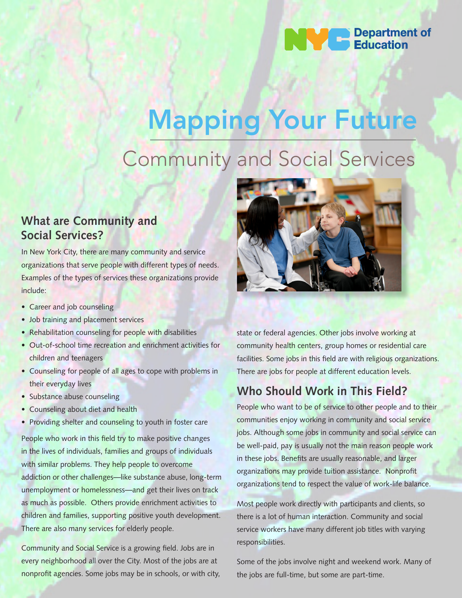

# Mapping Your Future

# Community and Social Services

## **What are Community and Social Services?**

In New York City, there are many community and service organizations that serve people with different types of needs. Examples of the types of services these organizations provide include:

- Career and job counseling
- Job training and placement services
- Rehabilitation counseling for people with disabilities
- Out-of-school time recreation and enrichment activities for children and teenagers
- Counseling for people of all ages to cope with problems in their everyday lives
- Substance abuse counseling
- Counseling about diet and health
- Providing shelter and counseling to youth in foster care

People who work in this field try to make positive changes in the lives of individuals, families and groups of individuals with similar problems. They help people to overcome addiction or other challenges—like substance abuse, long-term unemployment or homelessness—and get their lives on track as much as possible. Others provide enrichment activities to children and families, supporting positive youth development. There are also many services for elderly people.

Community and Social Service is a growing field. Jobs are in every neighborhood all over the City. Most of the jobs are at nonprofit agencies. Some jobs may be in schools, or with city,



state or federal agencies. Other jobs involve working at community health centers, group homes or residential care facilities. Some jobs in this field are with religious organizations. There are jobs for people at different education levels.

## **Who Should Work in This Field?**

People who want to be of service to other people and to their communities enjoy working in community and social service jobs. Although some jobs in community and social service can be well-paid, pay is usually not the main reason people work in these jobs. Benefits are usually reasonable, and larger organizations may provide tuition assistance. Nonprofit organizations tend to respect the value of work-life balance.

Most people work directly with participants and clients, so there is a lot of human interaction. Community and social service workers have many different job titles with varying responsibilities.

Some of the jobs involve night and weekend work. Many of the jobs are full-time, but some are part-time.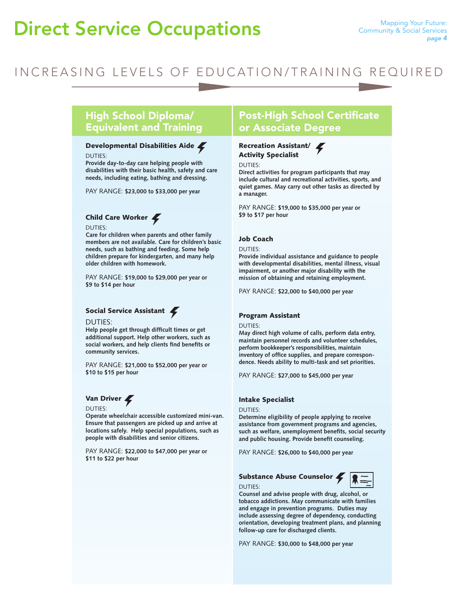## Direct Service Occupations

## INCREASING LEVELS OF EDUCATION/TRAINING REQUIRED

## High School Diploma/ Equivalent and Training

#### Developmental Disabilities Aide

#### DUTIES:

**Provide day-to-day care helping people with disabilities with their basic health, safety and care needs, including eating, bathing and dressing.**

PAY RANGE: **\$23,000 to \$33,000 per year**

#### Child Care Worker

#### DUTIES:

**Care for children when parents and other family members are not available. Care for children's basic needs, such as bathing and feeding. Some help children prepare for kindergarten, and many help older children with homework.**

PAY RANGE: **\$19,000 to \$29,000 per year or \$9 to \$14 per hour**

#### Social Service Assistant

DUTIES:

**Help people get through difficult times or get additional support. Help other workers, such as social workers, and help clients find benefits or community services.**

PAY RANGE: **\$21,000 to \$52,000 per year or \$10 to \$15 per hour**

## Van Driver

#### DUTIES:

**Operate wheelchair accessible customized mini-van. Ensure that passengers are picked up and arrive at locations safely. Help special populations, such as people with disabilities and senior citizens.**

PAY RANGE: **\$22,000 to \$47,000 per year or \$11 to \$22 per hour**

## Post-High School Certificate or Associate Degree

#### Recreation Assistant/ Activity Specialist

#### DUTIES:

**Direct activities for program participants that may include cultural and recreational activities, sports, and quiet games. May carry out other tasks as directed by a manager.**

PAY RANGE: **\$19,000 to \$35,000 per year or \$9 to \$17 per hour**

#### Job Coach

DUTIES:

**Provide individual assistance and guidance to people with developmental disabilities, mental illness, visual impairment, or another major disability with the mission of obtaining and retaining employment.**

PAY RANGE: **\$22,000 to \$40,000 per year**

#### Program Assistant

DUTIES:

**May direct high volume of calls, perform data entry, maintain personnel records and volunteer schedules, perform bookkeeper's responsibilities, maintain inventory of office supplies, and prepare correspondence. Needs ability to multi-task and set priorities.** 

PAY RANGE: **\$27,000 to \$45,000 per year**

#### Intake Specialist

#### DUTIES:

DUTIES:

**Determine eligibility of people applying to receive assistance from government programs and agencies, such as welfare, unemployment benefits, social security and public housing. Provide benefit counseling.**

PAY RANGE: **\$26,000 to \$40,000 per year**

#### Substance Abuse Counselor



**Counsel and advise people with drug, alcohol, or tobacco addictions. May communicate with families and engage in prevention programs. Duties may include assessing degree of dependency, conducting orientation, developing treatment plans, and planning follow-up care for discharged clients.**

PAY RANGE: **\$30,000 to \$48,000 per year**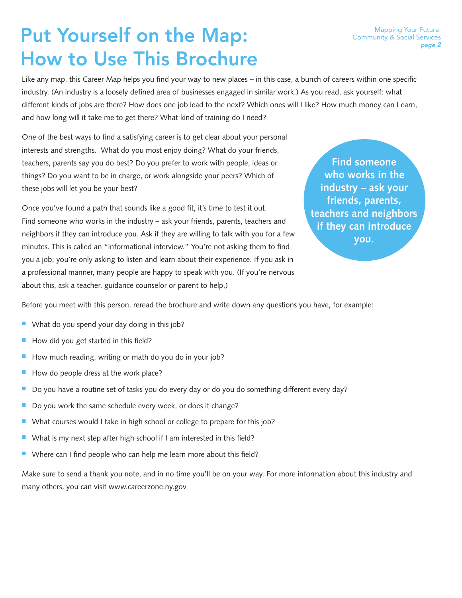## Put Yourself on the Map: How to Use This Brochure

Like any map, this Career Map helps you find your way to new places – in this case, a bunch of careers within one specific industry. (An industry is a loosely defined area of businesses engaged in similar work.) As you read, ask yourself: what different kinds of jobs are there? How does one job lead to the next? Which ones will I like? How much money can I earn, and how long will it take me to get there? What kind of training do I need?

One of the best ways to find a satisfying career is to get clear about your personal interests and strengths. What do you most enjoy doing? What do your friends, teachers, parents say you do best? Do you prefer to work with people, ideas or things? Do you want to be in charge, or work alongside your peers? Which of these jobs will let you be your best?

Once you've found a path that sounds like a good fit, it's time to test it out. Find someone who works in the industry – ask your friends, parents, teachers and neighbors if they can introduce you. Ask if they are willing to talk with you for a few minutes. This is called an "informational interview." You're not asking them to find you a job; you're only asking to listen and learn about their experience. If you ask in a professional manner, many people are happy to speak with you. (If you're nervous about this, ask a teacher, guidance counselor or parent to help.)

**Find someone who works in the industry – ask your friends, parents, teachers and neighbors if they can introduce you.**

Before you meet with this person, reread the brochure and write down any questions you have, for example:

- $\blacksquare$  What do you spend your day doing in this job?
- $\blacksquare$  How did you get started in this field?
- $\blacksquare$  How much reading, writing or math do you do in your job?
- $\blacksquare$  How do people dress at the work place?
- $\blacksquare$  Do you have a routine set of tasks you do every day or do you do something different every day?
- $\blacksquare$  Do you work the same schedule every week, or does it change?
- $\blacksquare$  What courses would I take in high school or college to prepare for this job?
- $\blacksquare$  What is my next step after high school if I am interested in this field?
- $\blacksquare$  Where can I find people who can help me learn more about this field?

Make sure to send a thank you note, and in no time you'll be on your way. For more information about this industry and many others, you can visit www.careerzone.ny.gov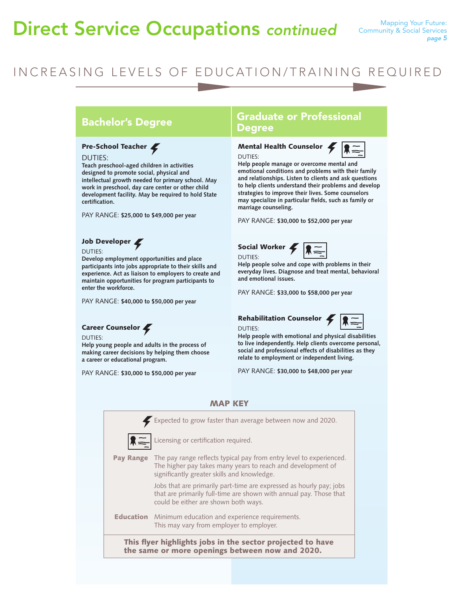## **Direct Service Occupations continued** Community & Social Services

## INCREASING LEVELS OF EDUCATION/TRAINING REQUIRED

### Pre-School Teacher

#### DUTIES:

**Teach preschool-aged children in activities designed to promote social, physical and intellectual growth needed for primary school. May work in preschool, day care center or other child development facility. May be required to hold State certification.**

PAY RANGE: **\$25,000 to \$49,000 per year**

## Job Developer

DUTIES:

**Develop employment opportunities and place participants into jobs appropriate to their skills and experience. Act as liaison to employers to create and maintain opportunities for program participants to enter the workforce.** 

PAY RANGE: **\$40,000 to \$50,000 per year**

#### Career Counselor

DUTIES:

**Help young people and adults in the process of making career decisions by helping them choose a career or educational program.**

PAY RANGE: **\$30,000 to \$50,000 per year**

## Bachelor's Degree Graduate or Professional Degree

#### Mental Health Counselor 4



**Help people manage or overcome mental and emotional conditions and problems with their family and relationships. Listen to clients and ask questions to help clients understand their problems and develop strategies to improve their lives. Some counselors may specialize in particular fields, such as family or marriage counseling.**

PAY RANGE: **\$30,000 to \$52,000 per year**

Social Worker DUTIES:

DUTIES:

DUTIES:



**Help people solve and cope with problems in their everyday lives. Diagnose and treat mental, behavioral and emotional issues.**

PAY RANGE: **\$33,000 to \$58,000 per year**

#### Rehabilitation Counselor





**Help people with emotional and physical disabilities to live independently. Help clients overcome personal, social and professional effects of disabilities as they relate to employment or independent living.**

PAY RANGE: **\$30,000 to \$48,000 per year**

|                                                                                                               | $\blacktriangleright$ Expected to grow faster than average between now and 2020.                                                                                                                   |  |  |  |  |
|---------------------------------------------------------------------------------------------------------------|----------------------------------------------------------------------------------------------------------------------------------------------------------------------------------------------------|--|--|--|--|
| $ \mathbf{k}=$                                                                                                | Licensing or certification required.                                                                                                                                                               |  |  |  |  |
|                                                                                                               | <b>Pay Range</b> The pay range reflects typical pay from entry level to experienced.<br>The higher pay takes many years to reach and development of<br>significantly greater skills and knowledge. |  |  |  |  |
|                                                                                                               | Jobs that are primarily part-time are expressed as hourly pay; jobs<br>that are primarily full-time are shown with annual pay. Those that<br>could be either are shown both ways.                  |  |  |  |  |
|                                                                                                               | <b>Education</b> Minimum education and experience requirements.<br>This may vary from employer to employer.                                                                                        |  |  |  |  |
| This flyer highlights jobs in the sector projected to have<br>the same or more openings between now and 2020. |                                                                                                                                                                                                    |  |  |  |  |
|                                                                                                               |                                                                                                                                                                                                    |  |  |  |  |

#### MAD VEV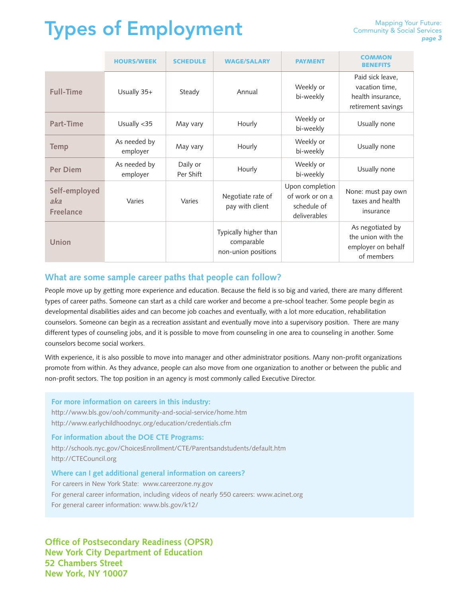# Community & Social Services Types of Employment *page 3*

|                                          | <b>HOURS/WEEK</b>        | <b>SCHEDULE</b>       | <b>WAGE/SALARY</b>                                         | <b>PAYMENT</b>                                                    | <b>COMMON</b><br><b>BENEFITS</b>                                              |
|------------------------------------------|--------------------------|-----------------------|------------------------------------------------------------|-------------------------------------------------------------------|-------------------------------------------------------------------------------|
| <b>Full-Time</b>                         | Usually 35+              | Steady                | Annual                                                     | Weekly or<br>bi-weekly                                            | Paid sick leave,<br>vacation time.<br>health insurance,<br>retirement savings |
| Part-Time                                | Usually <35              | May vary              | Hourly                                                     | Weekly or<br>bi-weekly                                            | Usually none                                                                  |
| <b>Temp</b>                              | As needed by<br>employer | May vary              | Hourly                                                     | Weekly or<br>bi-weekly                                            | Usually none                                                                  |
| <b>Per Diem</b>                          | As needed by<br>employer | Daily or<br>Per Shift | Hourly                                                     | Weekly or<br>bi-weekly                                            | Usually none                                                                  |
| Self-employed<br>aka<br><b>Freelance</b> | Varies                   | Varies                | Negotiate rate of<br>pay with client                       | Upon completion<br>of work or on a<br>schedule of<br>deliverables | None: must pay own<br>taxes and health<br>insurance                           |
| Union                                    |                          |                       | Typically higher than<br>comparable<br>non-union positions |                                                                   | As negotiated by<br>the union with the<br>employer on behalf<br>of members    |

### **What are some sample career paths that people can follow?**

People move up by getting more experience and education. Because the field is so big and varied, there are many different types of career paths. Someone can start as a child care worker and become a pre-school teacher. Some people begin as developmental disabilities aides and can become job coaches and eventually, with a lot more education, rehabilitation counselors. Someone can begin as a recreation assistant and eventually move into a supervisory position. There are many different types of counseling jobs, and it is possible to move from counseling in one area to counseling in another. Some counselors become social workers.

With experience, it is also possible to move into manager and other administrator positions. Many non-profit organizations promote from within. As they advance, people can also move from one organization to another or between the public and non-profit sectors. The top position in an agency is most commonly called Executive Director.

#### **For more information on careers in this industry:**

http://www.bls.gov/ooh/community-and-social-service/home.htm http://www.earlychildhoodnyc.org/education/credentials.cfm

#### **For information about the DOE CTE Programs:**

http://schools.nyc.gov/ChoicesEnrollment/CTE/Parentsandstudents/default.htm http://CTECouncil.org

#### **Where can I get additional general information on careers?**

For careers in New York State: www.careerzone.ny.gov For general career information, including videos of nearly 550 careers: www.acinet.org For general career information: www.bls.gov/k12/

**Office of Postsecondary Readiness (OPSR) New York City Department of Education 52 Chambers Street New York, NY 10007**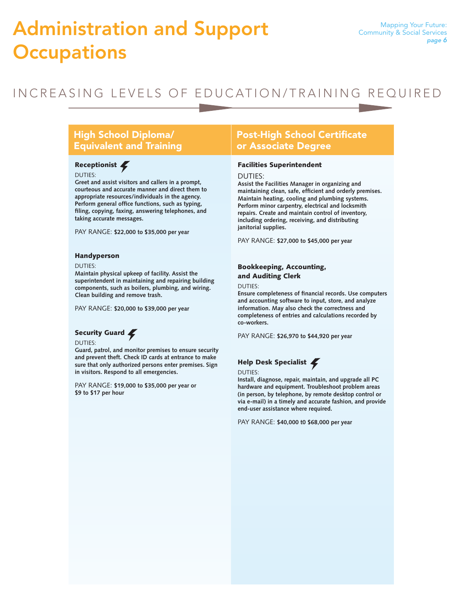## Administration and Support **Occupations**

## INCREASING LEVELS OF EDUCATION/TRAINING REQUIRED

### High School Diploma/ Equivalent and Training

### Receptionist

#### DUTIES:

**Greet and assist visitors and callers in a prompt, courteous and accurate manner and direct them to appropriate resources/individuals in the agency. Perform general office functions, such as typing, filing, copying, faxing, answering telephones, and taking accurate messages.**

PAY RANGE: **\$22,000 to \$35,000 per year**

#### Handyperson

#### DUTIES:

**Maintain physical upkeep of facility. Assist the superintendent in maintaining and repairing building components, such as boilers, plumbing, and wiring. Clean building and remove trash.**

PAY RANGE: **\$20,000 to \$39,000 per year**

### Security Guard

#### DUTIES:

**Guard, patrol, and monitor premises to ensure security and prevent theft. Check ID cards at entrance to make sure that only authorized persons enter premises. Sign in visitors. Respond to all emergencies.**

PAY RANGE: **\$19,000 to \$35,000 per year or \$9 to \$17 per hour**

### Post-High School Certificate or Associate Degree

#### Facilities Superintendent

#### DUTIES:

**Assist the Facilities Manager in organizing and maintaining clean, safe, efficient and orderly premises. Maintain heating, cooling and plumbing systems. Perform minor carpentry, electrical and locksmith repairs. Create and maintain control of inventory, including ordering, receiving, and distributing janitorial supplies.**

PAY RANGE: **\$27,000 to \$45,000 per year**

#### Bookkeeping, Accounting, and Auditing Clerk

#### DUTIES:

**Ensure completeness of financial records. Use computers and accounting software to input, store, and analyze information. May also check the correctness and completeness of entries and calculations recorded by co-workers.**

PAY RANGE: **\$26,970 to \$44,920 per year**



**Install, diagnose, repair, maintain, and upgrade all PC** 

**hardware and equipment. Troubleshoot problem areas (in person, by telephone, by remote desktop control or via e-mail) in a timely and accurate fashion, and provide end-user assistance where required.**

PAY RANGE: **\$40,000 t0 \$68,000 per year**